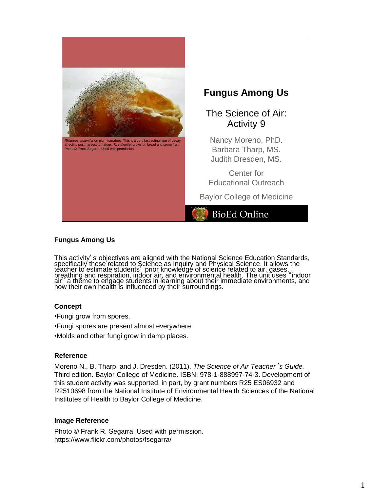

## **Fungus Among Us**

This activity's objectives are aligned with the National Science Education Standards, specifically those related to Science as Inquiry and Physical Science. It allows the<br>teacher to estimate students , prior knowledge of science related to air, gases, breathing and respiration, indoor air, and environmental health. The unit uses "indoor air" a theme to engage students in learning about their immediate environments, and how their own health is influenced by their surroundings.

### **Concept**

•Fungi grow from spores.

- •Fungi spores are present almost everywhere.
- •Molds and other fungi grow in damp places.

### **Reference**

Moreno N., B. Tharp, and J. Dresden. (2011). *The Science of Air Teacher*'*s Guide.* Third edition. Baylor College of Medicine. ISBN: 978-1-888997-74-3. Development of this student activity was supported, in part, by grant numbers R25 ES06932 and R2510698 from the National Institute of Environmental Health Sciences of the National Institutes of Health to Baylor College of Medicine.

### **Image Reference**

Photo © Frank R. Segarra. Used with permission. https://www.flickr.com/photos/fsegarra/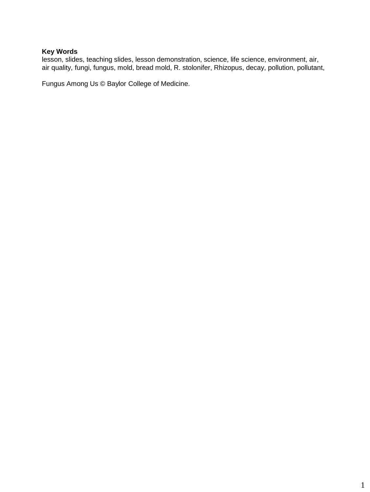# **Key Words**

lesson, slides, teaching slides, lesson demonstration, science, life science, environment, air, air quality, fungi, fungus, mold, bread mold, R. stolonifer, Rhizopus, decay, pollution, pollutant,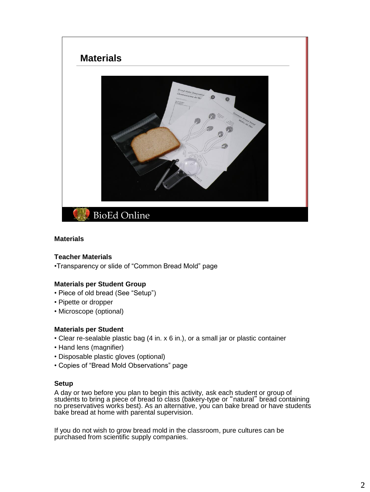

### **Materials**

### **Teacher Materials**

•Transparency or slide of "Common Bread Mold" page

### **Materials per Student Group**

- Piece of old bread (See "Setup")
- Pipette or dropper
- Microscope (optional)

### **Materials per Student**

- Clear re-sealable plastic bag (4 in. x 6 in.), or a small jar or plastic container
- Hand lens (magnifier)
- Disposable plastic gloves (optional)
- Copies of "Bread Mold Observations" page

### **Setup**

A day or two before you plan to begin this activity, ask each student or group of students to bring a piece of bread to class (bakery-type or "natural" bread containing no preservatives works best). As an alternative, you can bake bread or have students bake bread at home with parental supervision.

If you do not wish to grow bread mold in the classroom, pure cultures can be purchased from scientific supply companies.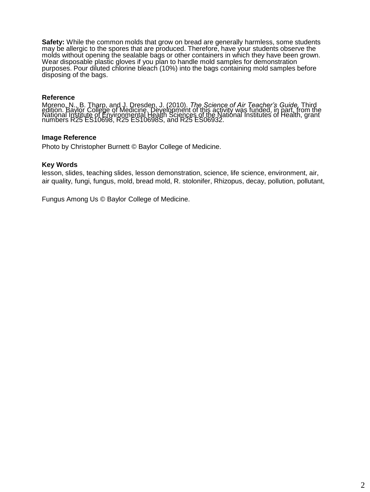**Safety:** While the common molds that grow on bread are generally harmless, some students may be allergic to the spores that are produced. Therefore, have your students observe the molds without opening the sealable bags or other containers in which they have been grown. Wear disposable plastic gloves if you plan to handle mold samples for demonstration purposes. Pour diluted chlorine bleach (10%) into the bags containing mold samples before disposing of the bags.

## **Reference**

Tracture 1., B. Tharp, and J. Dresden, J. (2010). The Science of Air Teacher's Guide, Third<br>edition. Baylor College of Medicine. Development of this activity was funded, in part, from the<br>National Institute of Environmenta

### **Image Reference**

Photo by Christopher Burnett © Baylor College of Medicine.

#### **Key Words**

lesson, slides, teaching slides, lesson demonstration, science, life science, environment, air, air quality, fungi, fungus, mold, bread mold, R. stolonifer, Rhizopus, decay, pollution, pollutant,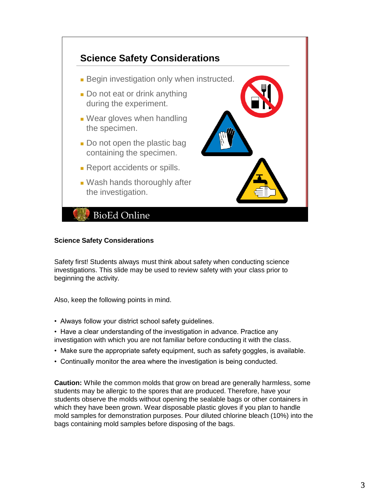

## **Science Safety Considerations**

Safety first! Students always must think about safety when conducting science investigations. This slide may be used to review safety with your class prior to beginning the activity.

Also, keep the following points in mind.

- Always follow your district school safety guidelines.
- Have a clear understanding of the investigation in advance. Practice any investigation with which you are not familiar before conducting it with the class.
- Make sure the appropriate safety equipment, such as safety goggles, is available.
- Continually monitor the area where the investigation is being conducted.

**Caution:** While the common molds that grow on bread are generally harmless, some students may be allergic to the spores that are produced. Therefore, have your students observe the molds without opening the sealable bags or other containers in which they have been grown. Wear disposable plastic gloves if you plan to handle mold samples for demonstration purposes. Pour diluted chlorine bleach (10%) into the bags containing mold samples before disposing of the bags.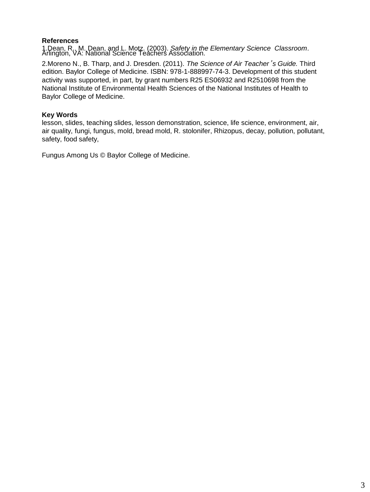# **References**

1.Dean, R., M. Dean, and L. Motz. (2003). *Safety in the Elementary Science Classroom*. Arlington, VA: National Science Teachers Association.

2.Moreno N., B. Tharp, and J. Dresden. (2011). *The Science of Air Teacher*'*s Guide.* Third edition. Baylor College of Medicine. ISBN: 978-1-888997-74-3. Development of this student activity was supported, in part, by grant numbers R25 ES06932 and R2510698 from the National Institute of Environmental Health Sciences of the National Institutes of Health to Baylor College of Medicine.

# **Key Words**

lesson, slides, teaching slides, lesson demonstration, science, life science, environment, air, air quality, fungi, fungus, mold, bread mold, R. stolonifer, Rhizopus, decay, pollution, pollutant, safety, food safety,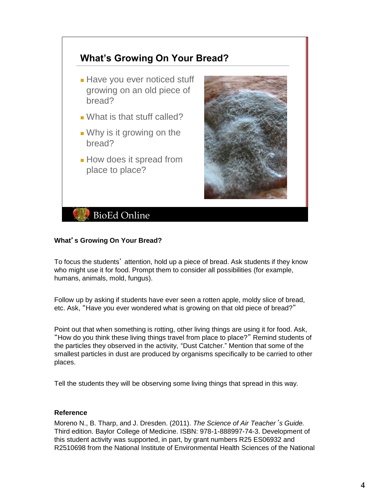

# **What**'**s Growing On Your Bread?**

To focus the students' attention, hold up a piece of bread. Ask students if they know who might use it for food. Prompt them to consider all possibilities (for example, humans, animals, mold, fungus).

Follow up by asking if students have ever seen a rotten apple, moldy slice of bread, etc. Ask, "Have you ever wondered what is growing on that old piece of bread?"

Point out that when something is rotting, other living things are using it for food. Ask, "How do you think these living things travel from place to place?" Remind students of the particles they observed in the activity, "Dust Catcher." Mention that some of the smallest particles in dust are produced by organisms specifically to be carried to other places.

Tell the students they will be observing some living things that spread in this way.

## **Reference**

Moreno N., B. Tharp, and J. Dresden. (2011). *The Science of Air Teacher*'*s Guide.* Third edition. Baylor College of Medicine. ISBN: 978-1-888997-74-3. Development of this student activity was supported, in part, by grant numbers R25 ES06932 and R2510698 from the National Institute of Environmental Health Sciences of the National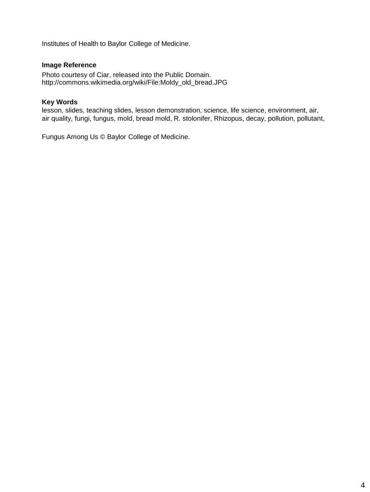Institutes of Health to Baylor College of Medicine.

# **Image Reference**

Photo courtesy of Ciar, released into the Public Domain. http://commons.wikimedia.org/wiki/File:Moldy\_old\_bread.JPG

## **Key Words**

lesson, slides, teaching slides, lesson demonstration, science, life science, environment, air, air quality, fungi, fungus, mold, bread mold, R. stolonifer, Rhizopus, decay, pollution, pollutant,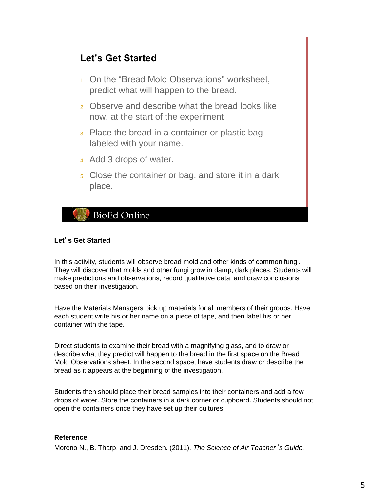

# **Let**'**s Get Started**

In this activity, students will observe bread mold and other kinds of common fungi. They will discover that molds and other fungi grow in damp, dark places. Students will make predictions and observations, record qualitative data, and draw conclusions based on their investigation.

Have the Materials Managers pick up materials for all members of their groups. Have each student write his or her name on a piece of tape, and then label his or her container with the tape.

Direct students to examine their bread with a magnifying glass, and to draw or describe what they predict will happen to the bread in the first space on the Bread Mold Observations sheet. In the second space, have students draw or describe the bread as it appears at the beginning of the investigation.

Students then should place their bread samples into their containers and add a few drops of water. Store the containers in a dark corner or cupboard. Students should not open the containers once they have set up their cultures.

## **Reference**

Moreno N., B. Tharp, and J. Dresden. (2011). *The Science of Air Teacher*'*s Guide.*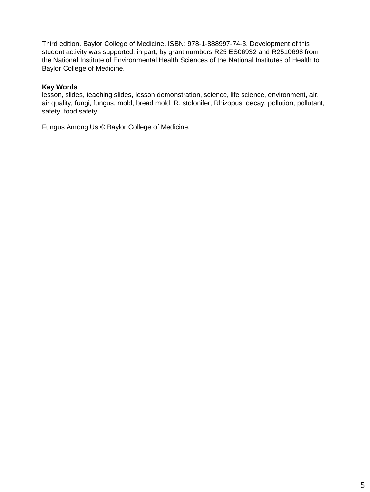Third edition. Baylor College of Medicine. ISBN: 978-1-888997-74-3. Development of this student activity was supported, in part, by grant numbers R25 ES06932 and R2510698 from the National Institute of Environmental Health Sciences of the National Institutes of Health to Baylor College of Medicine.

## **Key Words**

lesson, slides, teaching slides, lesson demonstration, science, life science, environment, air, air quality, fungi, fungus, mold, bread mold, R. stolonifer, Rhizopus, decay, pollution, pollutant, safety, food safety,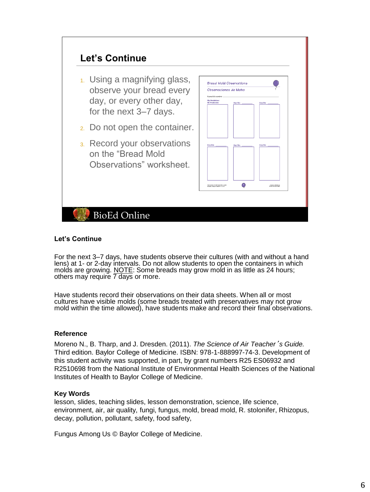

### **Let's Continue**

For the next 3–7 days, have students observe their cultures (with and without a hand lens) at 1- or 2-day intervals. Do not allow students to open the containers in which molds are growing. NOTE: Some breads may grow mold in as little as 24 hours; others may require 7 days or more.

Have students record their observations on their data sheets. When all or most cultures have visible molds (some breads treated with preservatives may not grow mold within the time allowed), have students make and record their final observations.

### **Reference**

Moreno N., B. Tharp, and J. Dresden. (2011). *The Science of Air Teacher*'*s Guide.* Third edition. Baylor College of Medicine. ISBN: 978-1-888997-74-3. Development of this student activity was supported, in part, by grant numbers R25 ES06932 and R2510698 from the National Institute of Environmental Health Sciences of the National Institutes of Health to Baylor College of Medicine.

### **Key Words**

lesson, slides, teaching slides, lesson demonstration, science, life science, environment, air, air quality, fungi, fungus, mold, bread mold, R. stolonifer, Rhizopus, decay, pollution, pollutant, safety, food safety,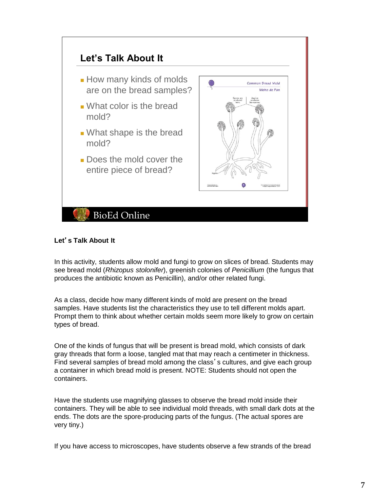

# **Let**'**s Talk About It**

In this activity, students allow mold and fungi to grow on slices of bread. Students may see bread mold (*Rhizopus stolonifer*), greenish colonies of *Penicillium* (the fungus that produces the antibiotic known as Penicillin), and/or other related fungi.

As a class, decide how many different kinds of mold are present on the bread samples. Have students list the characteristics they use to tell different molds apart. Prompt them to think about whether certain molds seem more likely to grow on certain types of bread.

One of the kinds of fungus that will be present is bread mold, which consists of dark gray threads that form a loose, tangled mat that may reach a centimeter in thickness. Find several samples of bread mold among the class's cultures, and give each group a container in which bread mold is present. NOTE: Students should not open the containers.

Have the students use magnifying glasses to observe the bread mold inside their containers. They will be able to see individual mold threads, with small dark dots at the ends. The dots are the spore-producing parts of the fungus. (The actual spores are very tiny.)

If you have access to microscopes, have students observe a few strands of the bread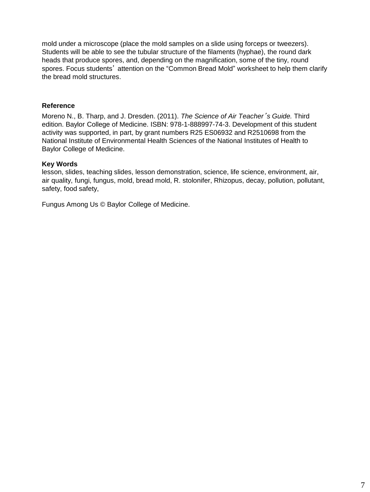mold under a microscope (place the mold samples on a slide using forceps or tweezers). Students will be able to see the tubular structure of the filaments (hyphae), the round dark heads that produce spores, and, depending on the magnification, some of the tiny, round spores. Focus students' attention on the "Common Bread Mold" worksheet to help them clarify the bread mold structures.

## **Reference**

Moreno N., B. Tharp, and J. Dresden. (2011). *The Science of Air Teacher*'*s Guide.* Third edition. Baylor College of Medicine. ISBN: 978-1-888997-74-3. Development of this student activity was supported, in part, by grant numbers R25 ES06932 and R2510698 from the National Institute of Environmental Health Sciences of the National Institutes of Health to Baylor College of Medicine.

### **Key Words**

lesson, slides, teaching slides, lesson demonstration, science, life science, environment, air, air quality, fungi, fungus, mold, bread mold, R. stolonifer, Rhizopus, decay, pollution, pollutant, safety, food safety,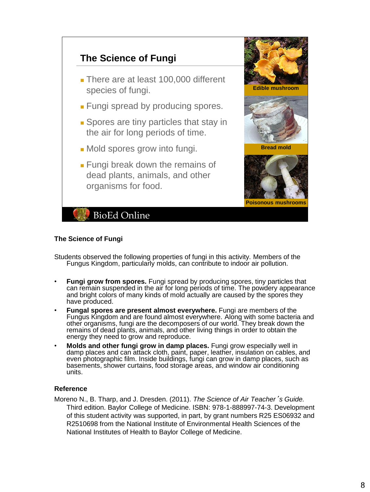

### **The Science of Fungi**

Students observed the following properties of fungi in this activity. Members of the Fungus Kingdom, particularly molds, can contribute to indoor air pollution.

- **Fungi grow from spores.** Fungi spread by producing spores, tiny particles that can remain suspended in the air for long periods of time. The powdery appearance and bright colors of many kinds of mold actually are caused by the spores they have produced.
- **Fungal spores are present almost everywhere.** Fungi are members of the Fungus Kingdom and are found almost everywhere. Along with some bacteria and other organisms, fungi are the decomposers of our world. They break down the remains of dead plants, animals, and other living things in order to obtain the energy they need to grow and reproduce.
- **Molds and other fungi grow in damp places.** Fungi grow especially well in damp places and can attack cloth, paint, paper, leather, insulation on cables, and even photographic film. Inside buildings, fungi can grow in damp places, such as basements, shower curtains, food storage areas, and window air conditioning units.

### **Reference**

Moreno N., B. Tharp, and J. Dresden. (2011). *The Science of Air Teacher*'*s Guide.* Third edition. Baylor College of Medicine. ISBN: 978-1-888997-74-3. Development of this student activity was supported, in part, by grant numbers R25 ES06932 and R2510698 from the National Institute of Environmental Health Sciences of the National Institutes of Health to Baylor College of Medicine.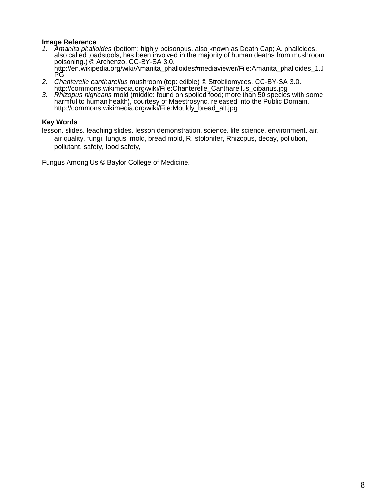### **Image Reference**

- *1. Amanita phalloides* (bottom: highly poisonous, also known as Death Cap; A. phalloides, also called toadstools, has been involved in the majority of human deaths from mushroom poisoning.) © Archenzo, CC-BY-SA 3.0. http://en.wikipedia.org/wiki/Amanita\_phalloides#mediaviewer/File:Amanita\_phalloides\_1.J PG
- *2. Chanterelle cantharellus* mushroom (top: edible) © Strobilomyces, CC-BY-SA 3.0. http://commons.wikimedia.org/wiki/File:Chanterelle\_Cantharellus\_cibarius.jpg
- *3. Rhizopus nigricans* mold (middle: found on spoiled food; more than 50 species with some harmful to human health), courtesy of Maestrosync, released into the Public Domain. http://commons.wikimedia.org/wiki/File:Mouldy\_bread\_alt.jpg

## **Key Words**

lesson, slides, teaching slides, lesson demonstration, science, life science, environment, air, air quality, fungi, fungus, mold, bread mold, R. stolonifer, Rhizopus, decay, pollution, pollutant, safety, food safety,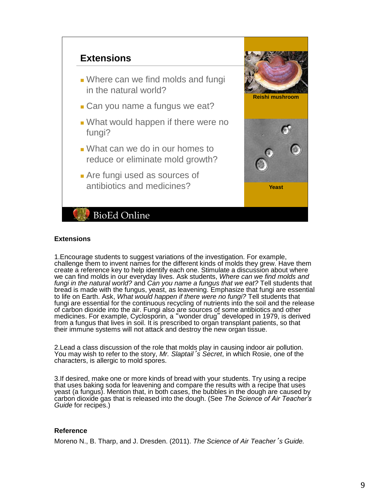

### **Extensions**

1.Encourage students to suggest variations of the investigation. For example, challenge them to invent names for the different kinds of molds they grew. Have them create a reference key to help identify each one. Stimulate a discussion about where we can find molds in our everyday lives. Ask students, *Where can we find molds and*  fungi in the natural world? and *Can you name a fungus that we eat?* Tell students that bread is made with the fungus, yeast, as leavening. Emphasize that fungi are essential to life on Earth. Ask, *What would happen if there were no fungi?* Tell students that fungi are essential for the continuous recycling of nutrients into the soil and the release of carbon dioxide into the air. Fungi also are sources of some antibiotics and other medicines. For example, Cyclosporin, a "wonder drug" developed in 1979, is derived from a fungus that lives in soil. It is prescribed to organ transplant patients, so that their immune systems will not attack and destroy the new organ tissue.

2.Lead a class discussion of the role that molds play in causing indoor air pollution. You may wish to refer to the story, *Mr. Slaptail*'*s Secret*, in which Rosie, one of the characters, is allergic to mold spores.

3.If desired, make one or more kinds of bread with your students. Try using a recipe that uses baking soda for leavening and compare the results with a recipe that uses yeast (a fungus). Mention that, in both cases, the bubbles in the dough are caused by carbon dioxide gas that is released into the dough. (See *The Science of Air Teacher's Guide* for recipes.)

### **Reference**

Moreno N., B. Tharp, and J. Dresden. (2011). *The Science of Air Teacher*'*s Guide.*